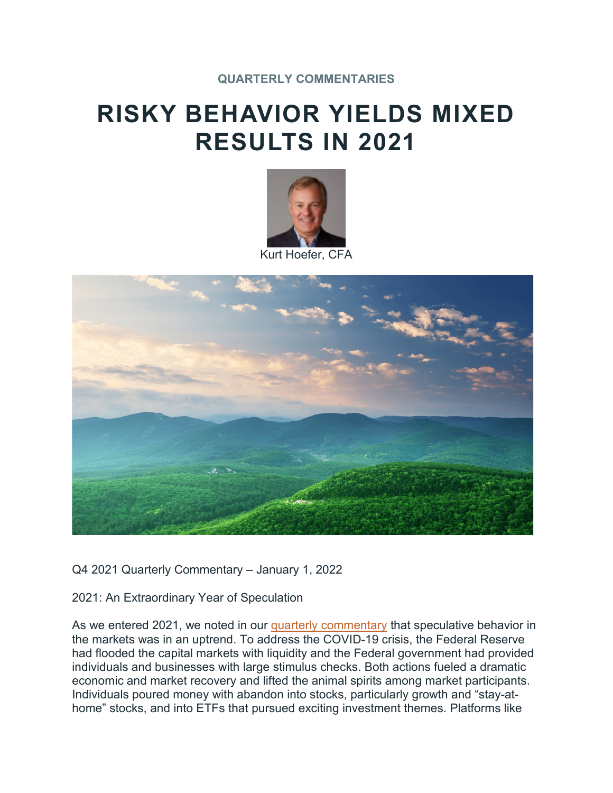## **RISKY BEHAVIOR YIELDS MIXED RESULTS IN 2021**





Q4 2021 Quarterly Commentary – January 1, 2022

2021: An Extraordinary Year of Speculation

As we entered 2021, we noted in our [quarterly commentary](https://summitry.com/blog/2021/01/19/a-market-dichotomy-risk-on-in-the-face-of-rising-risks/) that speculative behavior in the markets was in an uptrend. To address the COVID-19 crisis, the Federal Reserve had flooded the capital markets with liquidity and the Federal government had provided individuals and businesses with large stimulus checks. Both actions fueled a dramatic economic and market recovery and lifted the animal spirits among market participants. Individuals poured money with abandon into stocks, particularly growth and "stay-athome" stocks, and into ETFs that pursued exciting investment themes. Platforms like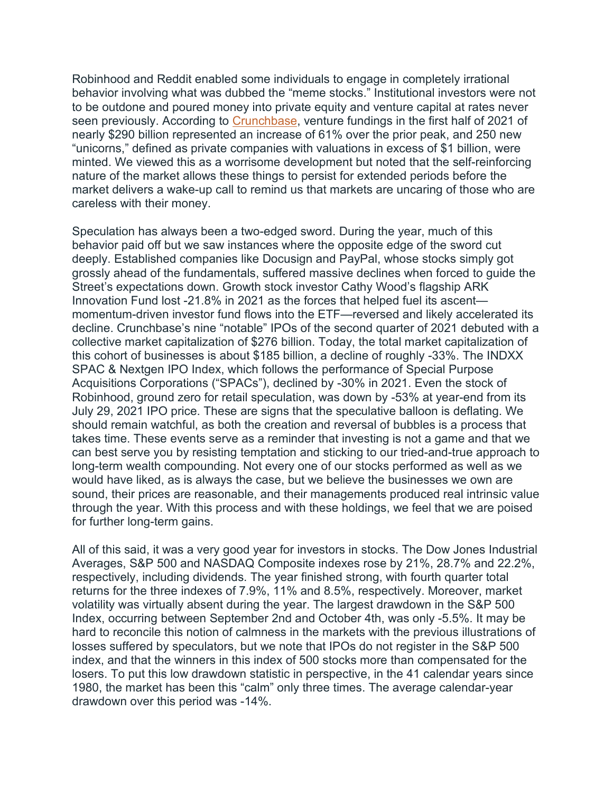Robinhood and Reddit enabled some individuals to engage in completely irrational behavior involving what was dubbed the "meme stocks." Institutional investors were not to be outdone and poured money into private equity and venture capital at rates never seen previously. According to [Crunchbase,](https://news.crunchbase.com/news/global-vc-funding-h1-2021-monthly-recap/) venture fundings in the first half of 2021 of nearly \$290 billion represented an increase of 61% over the prior peak, and 250 new "unicorns," defined as private companies with valuations in excess of \$1 billion, were minted. We viewed this as a worrisome development but noted that the self-reinforcing nature of the market allows these things to persist for extended periods before the market delivers a wake-up call to remind us that markets are uncaring of those who are careless with their money.

Speculation has always been a two-edged sword. During the year, much of this behavior paid off but we saw instances where the opposite edge of the sword cut deeply. Established companies like Docusign and PayPal, whose stocks simply got grossly ahead of the fundamentals, suffered massive declines when forced to guide the Street's expectations down. Growth stock investor Cathy Wood's flagship ARK Innovation Fund lost -21.8% in 2021 as the forces that helped fuel its ascent momentum-driven investor fund flows into the ETF—reversed and likely accelerated its decline. Crunchbase's nine "notable" IPOs of the second quarter of 2021 debuted with a collective market capitalization of \$276 billion. Today, the total market capitalization of this cohort of businesses is about \$185 billion, a decline of roughly -33%. The INDXX SPAC & Nextgen IPO Index, which follows the performance of Special Purpose Acquisitions Corporations ("SPACs"), declined by -30% in 2021. Even the stock of Robinhood, ground zero for retail speculation, was down by -53% at year-end from its July 29, 2021 IPO price. These are signs that the speculative balloon is deflating. We should remain watchful, as both the creation and reversal of bubbles is a process that takes time. These events serve as a reminder that investing is not a game and that we can best serve you by resisting temptation and sticking to our tried-and-true approach to long-term wealth compounding. Not every one of our stocks performed as well as we would have liked, as is always the case, but we believe the businesses we own are sound, their prices are reasonable, and their managements produced real intrinsic value through the year. With this process and with these holdings, we feel that we are poised for further long-term gains.

All of this said, it was a very good year for investors in stocks. The Dow Jones Industrial Averages, S&P 500 and NASDAQ Composite indexes rose by 21%, 28.7% and 22.2%, respectively, including dividends. The year finished strong, with fourth quarter total returns for the three indexes of 7.9%, 11% and 8.5%, respectively. Moreover, market volatility was virtually absent during the year. The largest drawdown in the S&P 500 Index, occurring between September 2nd and October 4th, was only -5.5%. It may be hard to reconcile this notion of calmness in the markets with the previous illustrations of losses suffered by speculators, but we note that IPOs do not register in the S&P 500 index, and that the winners in this index of 500 stocks more than compensated for the losers. To put this low drawdown statistic in perspective, in the 41 calendar years since 1980, the market has been this "calm" only three times. The average calendar-year drawdown over this period was -14%.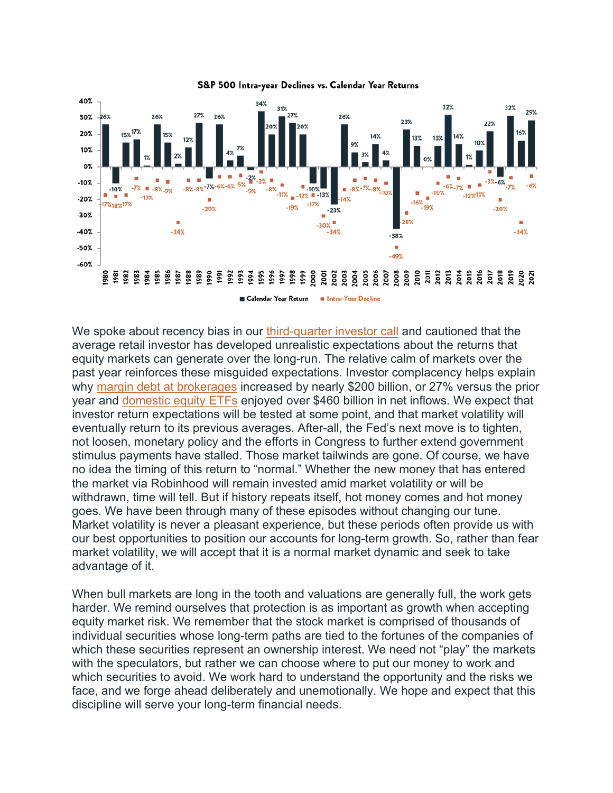

S&P 500 Intra-year Declines vs. Calendar Year Returns

We spoke about recency bias in our [third-quarter investor call](https://summitry.com/blog/2021/09/10/summitry-quarterly-investor-update-september-9-2021/) and cautioned that the average retail investor has developed unrealistic expectations about the returns that equity markets can generate over the long-run. The relative calm of markets over the past year reinforces these misguided expectations. Investor complacency helps explain why [margin debt at brokerages](https://www.finra.org/investors/learn-to-invest/advanced-investing/margin-statistics) increased by nearly \$200 billion, or 27% versus the prior year and [domestic equity ETFs](https://www.etf.com/sections/monthly-etf-flows/etf-monthly-fund-flows-december-2021) enjoyed over \$460 billion in net inflows. We expect that investor return expectations will be tested at some point, and that market volatility will eventually return to its previous averages. After-all, the Fed's next move is to tighten, not loosen, monetary policy and the efforts in Congress to further extend government stimulus payments have stalled. Those market tailwinds are gone. Of course, we have no idea the timing of this return to "normal." Whether the new money that has entered the market via Robinhood will remain invested amid market volatility or will be withdrawn, time will tell. But if history repeats itself, hot money comes and hot money goes. We have been through many of these episodes without changing our tune. Market volatility is never a pleasant experience, but these periods often provide us with our best opportunities to position our accounts for long-term growth. So, rather than fear market volatility, we will accept that it is a normal market dynamic and seek to take advantage of it.

When bull markets are long in the tooth and valuations are generally full, the work gets harder. We remind ourselves that protection is as important as growth when accepting equity market risk. We remember that the stock market is comprised of thousands of individual securities whose long-term paths are tied to the fortunes of the companies of which these securities represent an ownership interest. We need not "play" the markets with the speculators, but rather we can choose where to put our money to work and which securities to avoid. We work hard to understand the opportunity and the risks we face, and we forge ahead deliberately and unemotionally. We hope and expect that this discipline will serve your long-term financial needs.